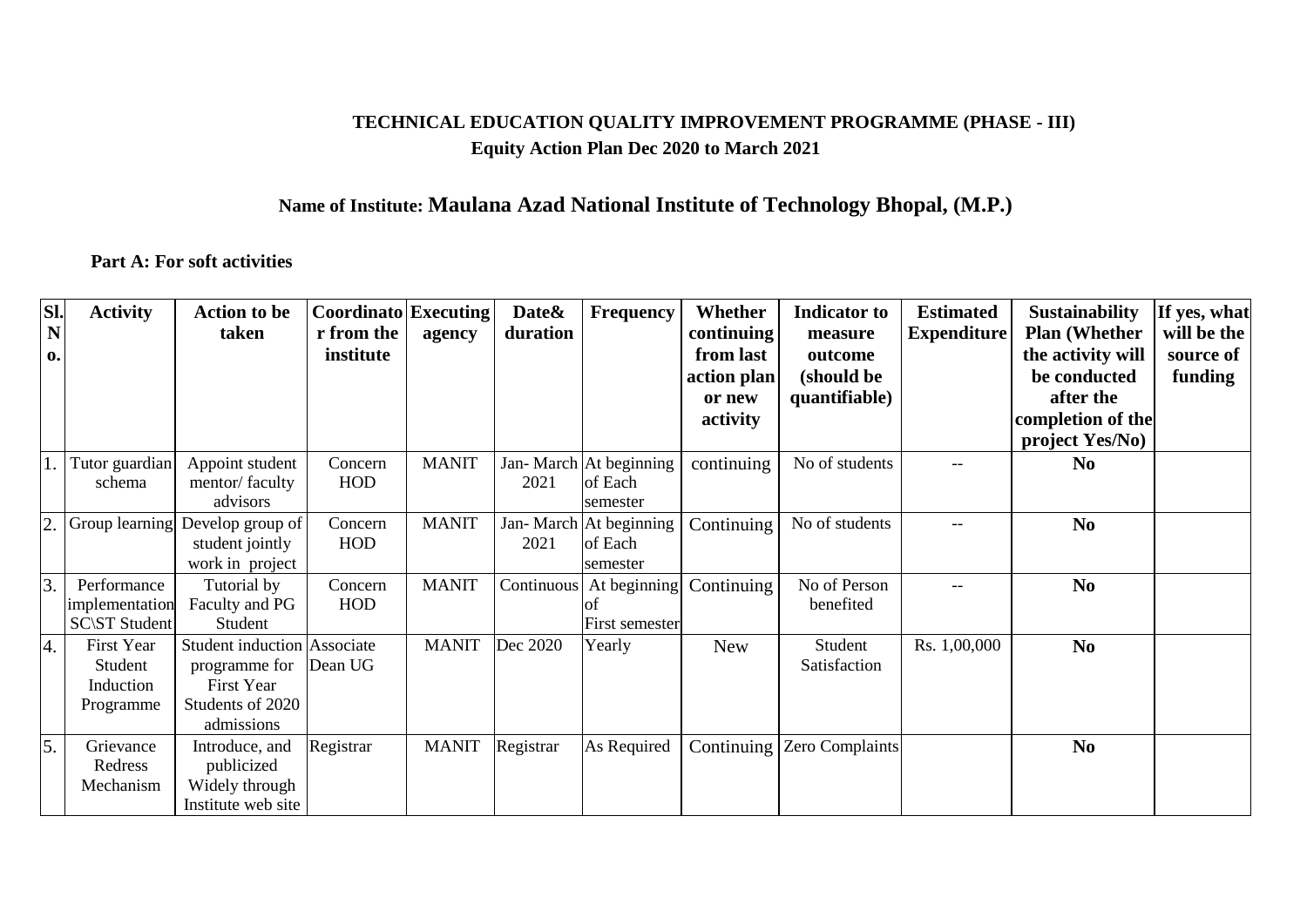## **TECHNICAL EDUCATION QUALITY IMPROVEMENT PROGRAMME (PHASE - III) Equity Action Plan Dec 2020 to March 2021**

## **Name of Institute: Maulana Azad National Institute of Technology Bhopal, (M.P.)**

## **Part A: For soft activities**

| SI. | <b>Activity</b>      | <b>Action to be</b>                | <b>Coordinato</b> Executing |              | Date&     | <b>Frequency</b>          | Whether     | <b>Indicator</b> to | <b>Estimated</b>   | <b>Sustainability</b> | If yes, what |
|-----|----------------------|------------------------------------|-----------------------------|--------------|-----------|---------------------------|-------------|---------------------|--------------------|-----------------------|--------------|
| N   |                      | taken                              | r from the                  | agency       | duration  |                           | continuing  | measure             | <b>Expenditure</b> | <b>Plan (Whether)</b> | will be the  |
| 0.  |                      |                                    | institute                   |              |           |                           | from last   | outcome             |                    | the activity will     | source of    |
|     |                      |                                    |                             |              |           |                           | action plan | (should be          |                    | be conducted          | funding      |
|     |                      |                                    |                             |              |           |                           | or new      | quantifiable)       |                    | after the             |              |
|     |                      |                                    |                             |              |           |                           | activity    |                     |                    | completion of the     |              |
|     |                      |                                    |                             |              |           |                           |             |                     |                    | project Yes/No)       |              |
|     | Tutor guardian       | Appoint student                    | Concern                     | <b>MANIT</b> |           | Jan-March At beginning    | continuing  | No of students      |                    | N <sub>0</sub>        |              |
|     | schema               | mentor/faculty                     | <b>HOD</b>                  |              | 2021      | of Each                   |             |                     |                    |                       |              |
|     |                      | advisors                           |                             |              |           | semester                  |             |                     |                    |                       |              |
| 2.  | Group learning       | Develop group of                   | Concern                     | <b>MANIT</b> |           | Jan-March At beginning    | Continuing  | No of students      | $-$                | N <sub>0</sub>        |              |
|     |                      | student jointly                    | <b>HOD</b>                  |              | 2021      | of Each                   |             |                     |                    |                       |              |
|     |                      | work in project                    |                             |              |           | semester                  |             |                     |                    |                       |              |
| 3.  | Performance          | Tutorial by                        | Concern                     | <b>MANIT</b> |           | Continuous   At beginning | Continuing  | No of Person        | $-$                | N <sub>0</sub>        |              |
|     | implementation       | Faculty and PG                     | <b>HOD</b>                  |              |           |                           |             | benefited           |                    |                       |              |
|     | <b>SC\ST Student</b> | Student                            |                             |              |           | First semester            |             |                     |                    |                       |              |
| 4.  | First Year           | <b>Student induction Associate</b> |                             | <b>MANIT</b> | Dec 2020  | Yearly                    | <b>New</b>  | Student             | Rs. 1,00,000       | N <sub>0</sub>        |              |
|     | Student              | programme for                      | Dean UG                     |              |           |                           |             | Satisfaction        |                    |                       |              |
|     | Induction            | First Year                         |                             |              |           |                           |             |                     |                    |                       |              |
|     | Programme            | Students of 2020                   |                             |              |           |                           |             |                     |                    |                       |              |
|     |                      | admissions                         |                             |              |           |                           |             |                     |                    |                       |              |
| 5.  | Grievance            | Introduce, and                     | Registrar                   | <b>MANIT</b> | Registrar | As Required               | Continuing  | Zero Complaints     |                    | N <sub>0</sub>        |              |
|     | Redress              | publicized                         |                             |              |           |                           |             |                     |                    |                       |              |
|     | Mechanism            | Widely through                     |                             |              |           |                           |             |                     |                    |                       |              |
|     |                      | Institute web site                 |                             |              |           |                           |             |                     |                    |                       |              |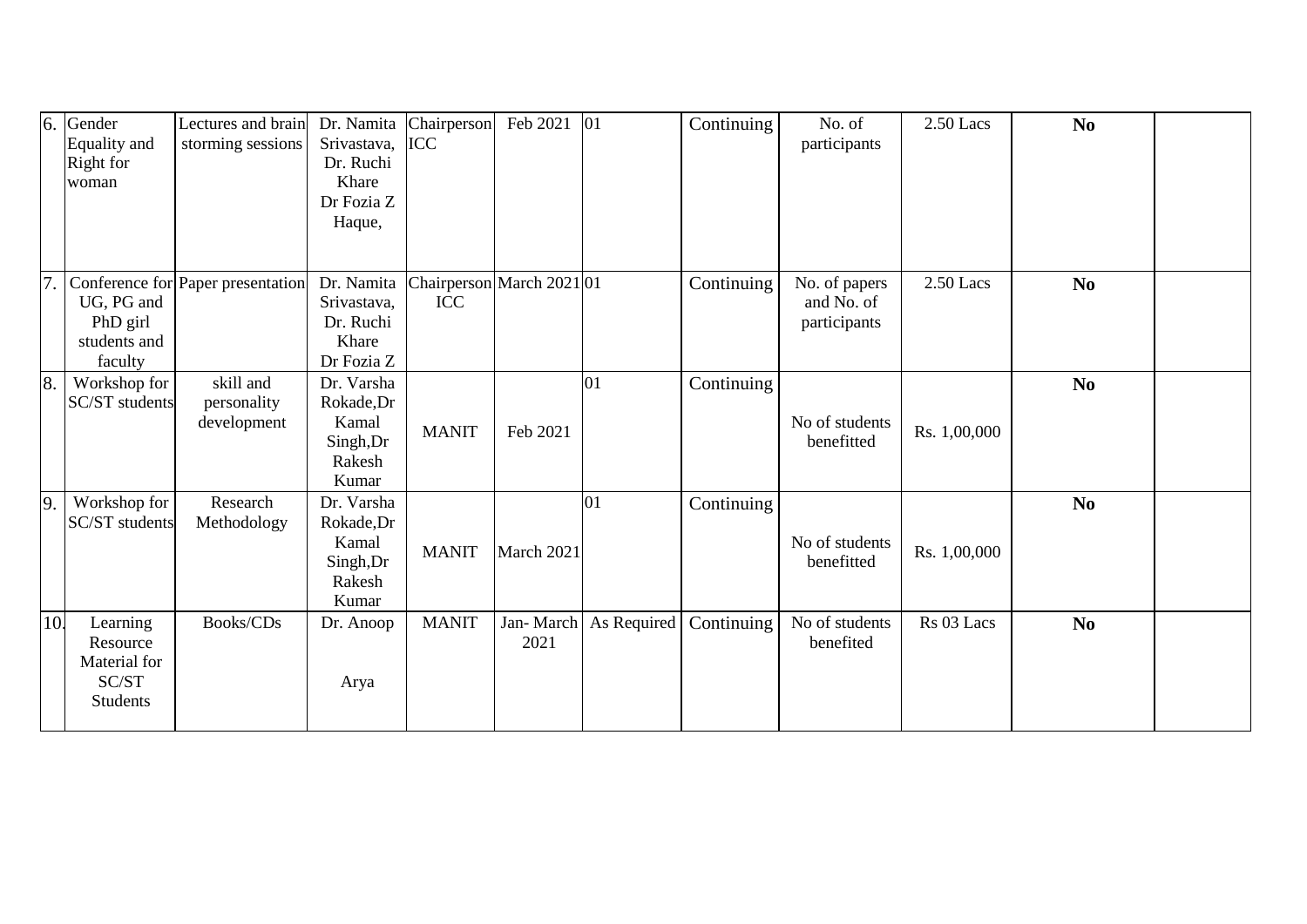| 6.             | Gender<br>Equality and<br>Right for<br>woman                     | Lectures and brain<br>storming sessions | Dr. Namita<br>Srivastava,<br>Dr. Ruchi<br>Khare<br>Dr Fozia Z<br>Haque, | Chairperson<br><b>ICC</b> | Feb 2021          | 01          | Continuing | No. of<br>participants       | $2.50$ Lacs  | N <sub>0</sub> |  |
|----------------|------------------------------------------------------------------|-----------------------------------------|-------------------------------------------------------------------------|---------------------------|-------------------|-------------|------------|------------------------------|--------------|----------------|--|
| 7              |                                                                  | Conference for Paper presentation       | Dr. Namita                                                              | Chairperson March 2021 01 |                   |             | Continuing | No. of papers                | $2.50$ Lacs  | N <sub>0</sub> |  |
|                | UG, PG and<br>PhD girl<br>students and<br>faculty                |                                         | Srivastava,<br>Dr. Ruchi<br>Khare<br>Dr Fozia Z                         | <b>ICC</b>                |                   |             |            | and No. of<br>participants   |              |                |  |
| $\overline{8}$ | Workshop for<br><b>SC/ST</b> students                            | skill and<br>personality<br>development | Dr. Varsha<br>Rokade, Dr<br>Kamal<br>Singh, Dr<br>Rakesh<br>Kumar       | <b>MANIT</b>              | Feb 2021          | 01          | Continuing | No of students<br>benefitted | Rs. 1,00,000 | N <sub>0</sub> |  |
| $\overline{9}$ | Workshop for<br><b>SC/ST</b> students                            | Research<br>Methodology                 | Dr. Varsha<br>Rokade, Dr<br>Kamal<br>Singh, Dr<br>Rakesh<br>Kumar       | <b>MANIT</b>              | March 2021        | 01          | Continuing | No of students<br>benefitted | Rs. 1,00,000 | N <sub>0</sub> |  |
| 10.            | Learning<br>Resource<br>Material for<br>SC/ST<br><b>Students</b> | Books/CDs                               | Dr. Anoop<br>Arya                                                       | <b>MANIT</b>              | Jan-March<br>2021 | As Required | Continuing | No of students<br>benefited  | Rs 03 Lacs   | N <sub>0</sub> |  |